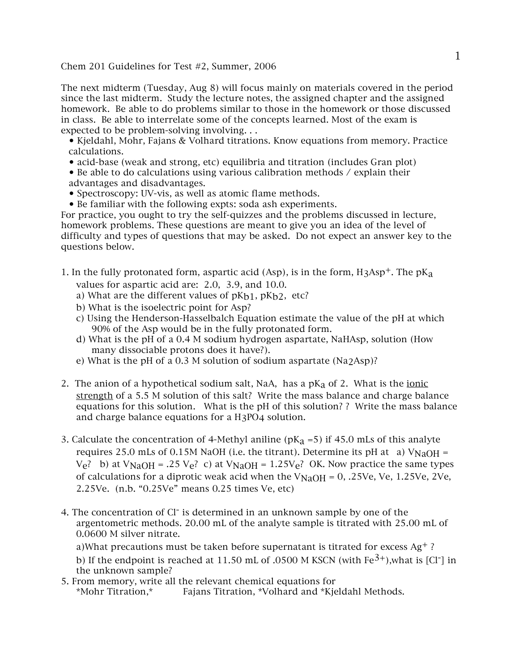Chem 201 Guidelines for Test #2, Summer, 2006

The next midterm (Tuesday, Aug 8) will focus mainly on materials covered in the period since the last midterm. Study the lecture notes, the assigned chapter and the assigned homework. Be able to do problems similar to those in the homework or those discussed in class. Be able to interrelate some of the concepts learned. Most of the exam is expected to be problem-solving involving. . .

• Kjeldahl, Mohr, Fajans & Volhard titrations. Know equations from memory. Practice calculations.

- acid-base (weak and strong, etc) equilibria and titration (includes Gran plot)
- Be able to do calculations using various calibration methods / explain their advantages and disadvantages.
- Spectroscopy: UV-vis, as well as atomic flame methods.
- Be familiar with the following expts: soda ash experiments.

For practice, you ought to try the self-quizzes and the problems discussed in lecture, homework problems. These questions are meant to give you an idea of the level of difficulty and types of questions that may be asked. Do not expect an answer key to the questions below.

1. In the fully protonated form, aspartic acid (Asp), is in the form,  $H_3Asp^+$ . The  $pK_a$ values for aspartic acid are: 2.0, 3.9, and 10.0.

- a) What are the different values of  $pK_{b1}$ ,  $pK_{b2}$ , etc?
- b) What is the isoelectric point for Asp?
- c) Using the Henderson-Hasselbalch Equation estimate the value of the pH at which 90% of the Asp would be in the fully protonated form.
- d) What is the pH of a 0.4 M sodium hydrogen aspartate, NaHAsp, solution (How many dissociable protons does it have?).
- e) What is the pH of a 0.3 M solution of sodium aspartate (Na2Asp)?
- 2. The anion of a hypothetical sodium salt, NaA, has a  $pK_a$  of 2. What is the ionic strength of a 5.5 M solution of this salt? Write the mass balance and charge balance equations for this solution. What is the pH of this solution? ? Write the mass balance and charge balance equations for a H3PO4 solution.
- 3. Calculate the concentration of 4-Methyl aniline ( $pK_a = 5$ ) if 45.0 mLs of this analyte requires 25.0 mLs of 0.15M NaOH (i.e. the titrant). Determine its pH at a)  $V_{\text{NaOH}} =$  $V_e$ ? b) at  $V_{\text{NaOH}} = .25 V_e$ ? c) at  $V_{\text{NaOH}} = 1.25 V_e$ ? OK. Now practice the same types of calculations for a diprotic weak acid when the  $V_{\text{NaOH}} = 0$ , .25Ve, Ve, 1.25Ve, 2Ve, 2.25Ve. (n.b. "0.25Ve" means 0.25 times Ve, etc)
- 4. The concentration of Cl<sup>-</sup> is determined in an unknown sample by one of the argentometric methods. 20.00 mL of the analyte sample is titrated with 25.00 mL of 0.0600 M silver nitrate.

a)What precautions must be taken before supernatant is titrated for excess Ag<sup>+</sup>? b) If the endpoint is reached at 11.50 mL of .0500 M KSCN (with  $Fe^{3+}$ ), what is [Cl<sup>-</sup>] in the unknown sample?

5. From memory, write all the relevant chemical equations for \*Mohr Titration,\* Fajans Titration, \*Volhard and \*Kjeldahl Methods.